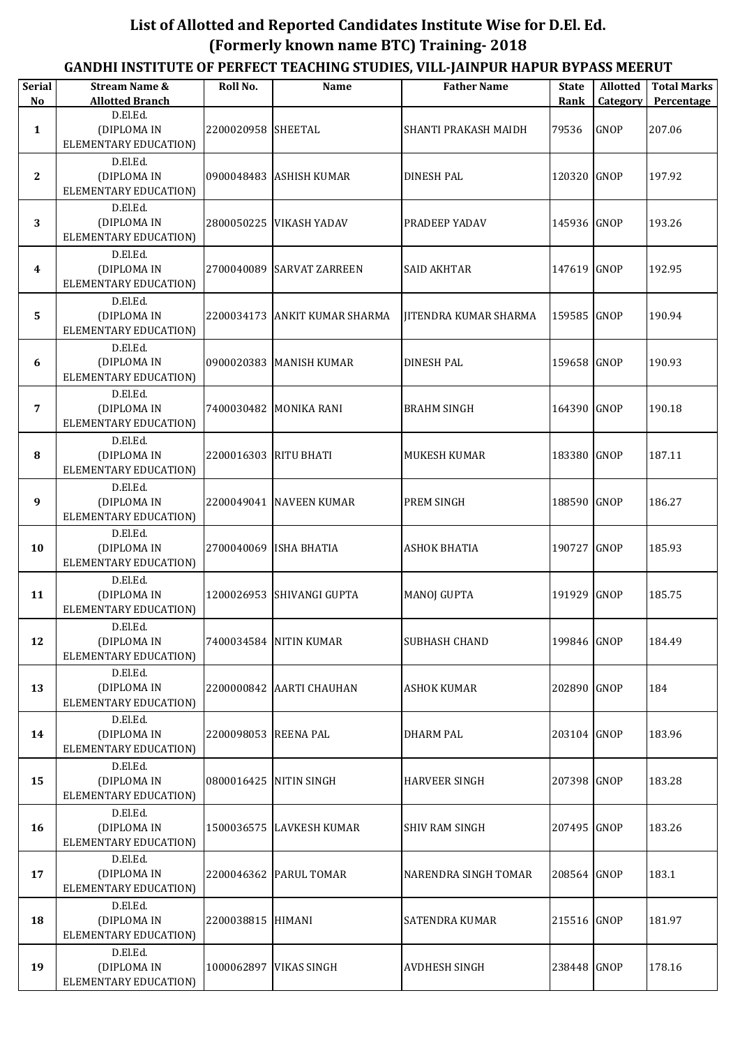## **List of Allotted and Reported Candidates Institute Wise for D.El. Ed. (Formerly known name BTC) Training- 2018**

## **GANDHI INSTITUTE OF PERFECT TEACHING STUDIES, VILL-JAINPUR HAPUR BYPASS MEERUT**

| <b>Serial</b><br>No     | <b>Stream Name &amp;</b><br><b>Allotted Branch</b>      | Roll No.              | Name                      | <b>Father Name</b>           | <b>State</b><br>Rank | Allotted<br>Category | <b>Total Marks</b><br>Percentage |
|-------------------------|---------------------------------------------------------|-----------------------|---------------------------|------------------------------|----------------------|----------------------|----------------------------------|
| $\mathbf{1}$            | D.El.Ed.<br>(DIPLOMA IN<br>ELEMENTARY EDUCATION)        | 2200020958 SHEETAL    |                           | SHANTI PRAKASH MAIDH         | 79536                | <b>GNOP</b>          | 207.06                           |
| $\mathbf{2}$            | D.El.Ed.<br>(DIPLOMA IN<br>ELEMENTARY EDUCATION)        |                       | 0900048483 ASHISH KUMAR   | <b>DINESH PAL</b>            | 120320 GNOP          |                      | 197.92                           |
| 3                       | D.El.Ed.<br>(DIPLOMA IN<br><b>ELEMENTARY EDUCATION)</b> | 2800050225            | <b>VIKASH YADAV</b>       | PRADEEP YADAV                | 145936 GNOP          |                      | 193.26                           |
| $\overline{\mathbf{4}}$ | D.El.Ed.<br>(DIPLOMA IN<br>ELEMENTARY EDUCATION)        | 2700040089            | <b>SARVAT ZARREEN</b>     | <b>SAID AKHTAR</b>           | 147619 GNOP          |                      | 192.95                           |
| 5                       | D.El.Ed.<br>(DIPLOMA IN<br>ELEMENTARY EDUCATION)        | 2200034173            | ANKIT KUMAR SHARMA        | <b>JITENDRA KUMAR SHARMA</b> | 159585 GNOP          |                      | 190.94                           |
| 6                       | D.El.Ed.<br>(DIPLOMA IN<br>ELEMENTARY EDUCATION)        | 0900020383            | <b>MANISH KUMAR</b>       | DINESH PAL                   | 159658 GNOP          |                      | 190.93                           |
| 7                       | D.El.Ed.<br>(DIPLOMA IN<br>ELEMENTARY EDUCATION)        |                       | 7400030482 MONIKA RANI    | <b>BRAHM SINGH</b>           | 164390 GNOP          |                      | 190.18                           |
| 8                       | D.El.Ed.<br>(DIPLOMA IN<br>ELEMENTARY EDUCATION)        | 2200016303 RITU BHATI |                           | <b>MUKESH KUMAR</b>          | 183380 GNOP          |                      | 187.11                           |
| 9                       | D.El.Ed.<br>(DIPLOMA IN<br>ELEMENTARY EDUCATION)        |                       | 2200049041 NAVEEN KUMAR   | PREM SINGH                   | 188590 GNOP          |                      | 186.27                           |
| 10                      | D.El.Ed.<br>(DIPLOMA IN<br>ELEMENTARY EDUCATION)        | 2700040069            | <b>ISHA BHATIA</b>        | <b>ASHOK BHATIA</b>          | 190727               | <b>GNOP</b>          | 185.93                           |
| 11                      | D.El.Ed.<br>(DIPLOMA IN<br>ELEMENTARY EDUCATION)        |                       | 1200026953 SHIVANGI GUPTA | <b>MANOJ GUPTA</b>           | 191929 GNOP          |                      | 185.75                           |
| 12                      | D.El.Ed.<br>(DIPLOMA IN<br>ELEMENTARY EDUCATION)        |                       | 7400034584 NITIN KUMAR    | SUBHASH CHAND                | 199846 GNOP          |                      | 184.49                           |
| 13                      | D.El.Ed.<br>(DIPLOMA IN<br>ELEMENTARY EDUCATION)        |                       | 2200000842 AARTI CHAUHAN  | <b>ASHOK KUMAR</b>           | 202890 GNOP          |                      | 184                              |
| 14                      | D.El.Ed.<br>(DIPLOMA IN<br><b>ELEMENTARY EDUCATION)</b> | 2200098053 REENA PAL  |                           | <b>DHARM PAL</b>             | 203104 GNOP          |                      | 183.96                           |
| 15                      | D.El.Ed.<br>(DIPLOMA IN<br>ELEMENTARY EDUCATION)        | 0800016425            | <b>NITIN SINGH</b>        | <b>HARVEER SINGH</b>         | 207398 GNOP          |                      | 183.28                           |
| 16                      | D.El.Ed.<br>(DIPLOMA IN<br>ELEMENTARY EDUCATION)        | 1500036575            | <b>LAVKESH KUMAR</b>      | <b>SHIV RAM SINGH</b>        | 207495 GNOP          |                      | 183.26                           |
| 17                      | D.El.Ed.<br>(DIPLOMA IN<br>ELEMENTARY EDUCATION)        | 2200046362            | PARUL TOMAR               | NARENDRA SINGH TOMAR         | 208564 GNOP          |                      | 183.1                            |
| 18                      | D.El.Ed.<br>(DIPLOMA IN<br>ELEMENTARY EDUCATION)        | 2200038815 HIMANI     |                           | SATENDRA KUMAR               | 215516 GNOP          |                      | 181.97                           |
| 19                      | D.El.Ed.<br>(DIPLOMA IN<br>ELEMENTARY EDUCATION)        | 1000062897            | <b>VIKAS SINGH</b>        | <b>AVDHESH SINGH</b>         | 238448 GNOP          |                      | 178.16                           |